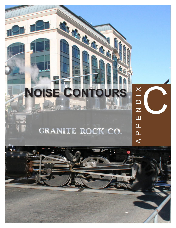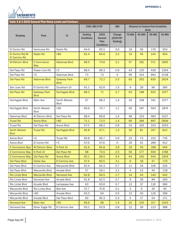

| Table 4.8-4 2035 General Plan Noise Levels and Contours |                                    |                                    |                                      |                                              |                                  |                  |                                            |        |        |  |
|---------------------------------------------------------|------------------------------------|------------------------------------|--------------------------------------|----------------------------------------------|----------------------------------|------------------|--------------------------------------------|--------|--------|--|
|                                                         |                                    |                                    | CNEL dBA @ 50'                       |                                              | dBA                              |                  | <b>Distance to Contour from Centerline</b> | (feet) |        |  |
| Roadway                                                 | <b>From</b>                        | T <sub>0</sub>                     | <b>Existing</b><br><b>Conditions</b> | 2035<br>General<br>Plan<br><b>Conditions</b> | Change<br>(2035 GP-<br>Existing) | 70 dBA           | 65 dBA                                     | 60 dBA | 55 dBA |  |
| El Centro Rd                                            | Hankview Rd                        | Radio Rd                           | 64.9                                 | 65.5                                         | 0.6                              | 18               | 56                                         | 178    | 563    |  |
| El Centro Rd/W<br>El Camino Rd                          | <b>Radio Rd</b>                    | $1-80$                             | 61.4                                 | 64.6                                         | 3.2                              | 14               | 45                                         | 144    | 454    |  |
| <b>W Elkhorn Blvd</b>                                   | E Commerce<br>Way                  | <b>Natomas Blvd</b>                | 68.5                                 | 70.6                                         | 2.1                              | 57               | 181                                        | 571    | 1805   |  |
| Del Paso Rd                                             | Power Line Rd                      | $I-5$                              | 68.4                                 | 69.3                                         | 0.9                              | 43               | 135                                        | 428    | 1354   |  |
| Del Paso Rd                                             | $-5$                               | Natomas Blvd                       | 73                                   | 73                                           | $\mathsf{O}$                     | 99               | 314                                        | 992    | 3138   |  |
| Del Paso Rd                                             | <b>Natomas Blvd</b>                | <b>Gateway Park</b><br><b>Blvd</b> | 69.7                                 | 72.2                                         | 2.5                              | 83               | 262                                        | 830    | 2624   |  |
| San Juan Rd                                             | El Centro Rd                       | Duckhorn Dr                        | 61.1                                 | 62.6                                         | 1.5                              | 9                | 28                                         | 90     | 285    |  |
| Del Paso Rd                                             | <b>Gateway Park</b><br><b>Blvd</b> | Northgate Blvd                     | 68.3                                 | 71                                           | 2.7                              | 63               | 198                                        | 625    | 1977   |  |
| Northgate Blvd                                          | Main Ave                           | North Market<br><b>Blvd</b>        | 67                                   | 68.3                                         | 1.4                              | 34               | 108                                        | 341    | 1077   |  |
| Northgate Blvd                                          | North Market<br><b>B</b> lvd       | $I-80$                             | 69.6                                 | 70.7                                         | 1.1                              | 59               | 187                                        | 593    | 1874   |  |
| Natomas Blvd                                            | W Elkhorn Blvd                     | Del Paso Rd                        | 68.4                                 | 69.8                                         | 1.4                              | 48               | 153                                        | 483    | 1527   |  |
| <b>Truxel Rd</b>                                        | <b>Arena Blvd</b>                  | $I-80$                             | 71.1                                 | 72.5                                         | 1.4                              | 90               | 284                                        | 897    | 2836   |  |
| <b>Truxel Rd</b>                                        | Del Paso Rd                        | Arena Blvd                         | 67.5                                 | 68.2                                         | 0.8                              | 33               | 105                                        | 333    | 1053   |  |
| <b>North Market</b><br><b>Blvd</b>                      | <b>Truxel Rd</b>                   | Northgate Blvd                     | 65.8                                 | 67.1                                         | 1.3                              | 26               | 81                                         | 257    | 813    |  |
| Arena Blvd                                              | $I-5$                              | <b>Truxel Rd</b>                   | 65.8                                 | 66.7                                         | 0.9                              | 23               | 73                                         | 232    | 735    |  |
| Arena Blvd                                              | El Centro Rd                       | $I-5$                              | 67.6                                 | 67.6                                         | $\mathsf{O}$                     | 29               | 91                                         | 289    | 912    |  |
| E Commerce Way                                          | <b>W</b> Elkhorn Blvd              | N Park Dr                          | 61.9                                 | 65.8                                         | 3.9                              | 19               | 59                                         | 188    | 594    |  |
| <b>E Commerce Way</b>                                   | N Park Dr                          | Del Paso Rd                        | 68                                   | 70.5                                         | 2.5                              | 56               | 177                                        | 559    | 1768   |  |
| E Commerce Way                                          | Del Paso Rd                        | Arena Blvd                         | 65.1                                 | 69.5                                         | 4.4                              | 44               | 140                                        | 444    | 1404   |  |
| Del Paso Blvd                                           | <b>Globe Ave</b>                   | El Camino Ave                      | 57.4                                 | 60.5                                         | 3.1                              | $6 \overline{6}$ | 18                                         | 57     | 179    |  |
| Del Paso Blvd                                           | El Camino Ave                      | Marysville Blvd                    | 62.6                                 | 63.3                                         | 0.7                              | 11               | 34                                         | 106    | 335    |  |
| Del Paso Blvd                                           | Marysville Blvd                    | Arcade Blvd                        | 57                                   | 59.1                                         | 2.1                              | 4                | 13                                         | 40     | 128    |  |
| Rio Linda Blvd                                          | <b>Marysville Blvd</b>             | Norwood Ave                        | 62.8                                 | 64.5                                         | 1.7                              | 14               | 44                                         | 140    | 442    |  |
| Rio Linda Blvd                                          | Norwood Ave                        | Arcade Blvd                        | 61.8                                 | 62.5                                         | 0.7                              | 9                | 28                                         | 89     | 283    |  |
| Rio Linda Blvd                                          | Arcade Blvd                        | Lampasas Ave                       | 63                                   | 63.6                                         | 0.7                              | 12               | 37                                         | 116    | 366    |  |
| Marysville Blvd                                         | Rio Linda Blvd                     | <b>Bell Ave</b>                    | 57.7                                 | 57.8                                         | 0.1                              | 3                | 9                                          | 30     | 95     |  |
| Marysville Blvd                                         | $I-80$                             | Arcade Blvd                        | 63.5                                 | 64                                           | 0.5                              | 13               | 40                                         | 126    | 399    |  |
| Marysville Blvd                                         | Arcade Blvd                        | Del Paso Blvd                      | 60                                   | 60.3                                         | 0.3                              | 5                | 17                                         | 54     | 171    |  |
| Norwood Ave                                             | <b>Main Ave</b>                    | $I-80$                             | 66.6                                 | 68                                           | 1.4                              | 32               | 100                                        | 317    | 1003   |  |
| Norwood Ave                                             | Silver Eagle Rd                    | El Camino Ave                      | 63.1                                 | 63.9                                         | 0.8                              | 12               | 39                                         | 123    | 388    |  |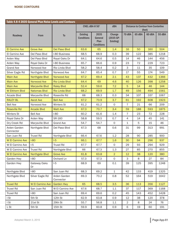| Table 4.8-4 2035 General Plan Noise Levels and Contours |                        |                           |                                      |                                              |                                  |                |        |                                                      |        |  |
|---------------------------------------------------------|------------------------|---------------------------|--------------------------------------|----------------------------------------------|----------------------------------|----------------|--------|------------------------------------------------------|--------|--|
|                                                         |                        |                           | CNEL dBA @ 50'                       |                                              | dBA                              |                |        | <b>Distance to Contour from Centerline</b><br>(feet) |        |  |
| Roadway                                                 | <b>From</b>            | <b>To</b>                 | <b>Existing</b><br><b>Conditions</b> | 2035<br>General<br>Plan<br><b>Conditions</b> | Change<br>(2035 GP-<br>Existing) | 70 dBA         | 65 dBA | 60 dBA                                               | 55 dBA |  |
| El Camino Ave                                           | <b>Grove Ave</b>       | <b>Del Paso Blvd</b>      | 63.6                                 | 65                                           | 1.4                              | 16             | 50     | 160                                                  | 504    |  |
| El Camino Ave                                           | Del Paso Blvd          | I-80 Business             | 68.5                                 | 68.9                                         | 0.3                              | 39             | 122    | 385                                                  | 1218   |  |
| Arden Way                                               | Del Paso Blvd          | Royal Oaks Dr             | 64.1                                 | 64.6                                         | 0.5                              | 14             | 46     | 144                                                  | 456    |  |
| Arden Way                                               | Royal Oaks Dr          | I-80 Business             | 65.7                                 | 66.6                                         | 0.9                              | 23             | 72     | 229                                                  | 723    |  |
| <b>Grand Ave</b>                                        | Norwood Ave            | Rio Linda Blvd            | 58.2                                 | 58.4                                         | 0.2                              | 3              | 11     | 35                                                   | 109    |  |
| Silver Eagle Rd                                         | Northgate Blvd         | Norwood Ave               | 64.7                                 | 65.4                                         | 0.7                              | 17             | 55     | 174                                                  | 549    |  |
| <b>Main Ave</b>                                         | <b>Northgate Blvd</b>  | Norwood Ave               | 67.2                                 | 69.4                                         | 2.1                              | 43             | 137    | 432                                                  | 1366   |  |
| <b>Main Ave</b>                                         | Norwood Ave            | <b>Rio Linda Blvd</b>     | 64.4                                 | 69                                           | 4.6                              | 40             | 126    | 398                                                  | 1258   |  |
| <b>Main Ave</b>                                         | <b>Marysville Blvd</b> | <b>Raley Blvd</b>         | 52.4                                 | 59.6                                         | 7.2                              | 5              | 14     | 46                                                   | 144    |  |
| <b>W Elkhorn Blvd</b>                                   | <b>Natomas Blvd</b>    | Rio Linda Blvd            | 68.2                                 | 69.9                                         | 1.7                              | 49             | 156    | 494                                                  | 1561   |  |
| Arcade Blvd                                             | Marysville Blvd        | Roseville Rd              | 68                                   | 68.3                                         | 0.3                              | 34             | 107    | 337                                                  | 1067   |  |
| <b>RALEY BL</b>                                         | <b>Ascot Ave</b>       | <b>Bell Ave</b>           | 67.2                                 | 70.9                                         | 3.7                              | 61             | 192    | 608                                                  | 1923   |  |
| <b>Bell Ave</b>                                         | Norwood Ave            | Winters St                | 61.2                                 | 61.2                                         | 0                                | $\overline{7}$ | 21     | 66                                                   | 209    |  |
| <b>Roseville Rd</b>                                     | <b>Arcade Blvd</b>     | <b>Watt Ave</b>           | 67.3                                 | 70.7                                         | 3.4                              | 59             | 188    | 593                                                  | 1875   |  |
| Winters St                                              | <b>Bell Ave</b>        | $I-80$                    | 60.2                                 | 61.6                                         | 1.4                              | $\overline{7}$ | 23     | 72                                                   | 228    |  |
| Royal Oaks Dr                                           | Arden Way              | SR-160                    | 58.8                                 | 59.5                                         | 0.7                              | 4              | 14     | 45                                                   | 141    |  |
| Dry Creek Rd                                            | Marysville Blvd        | <b>Grand Ave</b>          | 54.7                                 | 54.7                                         | $\circ$                          | 1              | 5      | 15                                                   | 46     |  |
| Arden Garden<br>Connector                               | Northgate Blvd         | Del Paso Blvd             | 67.3                                 | 68                                           | 0.6                              | 31             | 99     | 313                                                  | 991    |  |
| San Juan Rd                                             | Truxel Rd              | Northgate Blvd            | 66.4                                 | 67.6                                         | 1.2                              | 28             | 90     | 285                                                  | 900    |  |
| <b>W El Camino Ave</b>                                  | $I-80$                 | $I-5$                     | 66.1                                 | 67.7                                         | 1.6                              | 30             | 94     | 296                                                  | 937    |  |
| W El Camino Ave                                         | $I-5$                  | <b>Truxel Rd</b>          | 67.7                                 | 67.7                                         | $\mathsf{O}$                     | 29             | 93     | 294                                                  | 929    |  |
| W El Camino Ave                                         | Truxel Rd              | Northgate Blvd            | 66                                   | 67.3                                         | 1.3                              | 27             | 85     | 270                                                  | 855    |  |
| <b>W El Camino Ave</b>                                  | Northgate Blvd         | <b>Grove Ave</b>          | 61.8                                 | 63.8                                         | $\overline{2}$                   | 12             | 38     | 120                                                  | 380    |  |
| Garden Hwy                                              | $I-80$                 | Orchard Ln                | 57.3                                 | 57.3                                         | $\mathsf{O}\xspace$              | 3              | 8      | 27                                                   | 84     |  |
| Garden Hwy                                              | Gateway Oaks<br>Dr     | $I-5$                     | 68.9                                 | 69                                           | 0.1                              | 39             | 125    | 395                                                  | 1248   |  |
| Northgate Blvd                                          | $I-80$                 | San Juan Rd               | 68.3                                 | 69.2                                         | $1\,$                            | 42             | 133    | 419                                                  | 1325   |  |
| Northgate Blvd                                          | Silver Eagle Rd        | Arden Garden<br>Connector | 69.3                                 | 70.2                                         | 0.8                              | 52             | 164    | 519                                                  | 1642   |  |
| <b>Truxel Rd</b>                                        | <b>W El Camino Ave</b> | <b>Garden Hwy</b>         | 65                                   | 68.5                                         | 3.5                              | 36             | 113    | 356                                                  | 1127   |  |
| Truxel Rd                                               | San Juan Rd            | W El Camino Ave           | 67.6                                 | 68.7                                         | 1.1                              | 37             | 117    | 369                                                  | 1168   |  |
| Truxel Rd                                               | $I-80$                 | San Juan Rd               | 69.4                                 | 69.6                                         | 0.2                              | 45             | 143    | 452                                                  | 1428   |  |
| I St                                                    | 5th St                 | 12th St                   | 62.9                                 | 63.8                                         | 0.9                              | 12             | 38     | 120                                                  | 378    |  |
| I St                                                    | 21st St                | 29th St                   | 55.7                                 | 56.8                                         | 1.1                              | $\mathbf{2}$   | 8      | 24                                                   | 76     |  |
| L St                                                    | 5th St                 | 15th St                   | 59.9                                 | 60.8                                         | 0.9                              | 6              | 19     | 60                                                   | 191    |  |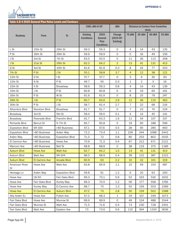

| Table 4.8-4 2035 General Plan Noise Levels and Contours |                 |                        |                                      |                                              |                                  |                |                |                                                      |        |  |
|---------------------------------------------------------|-----------------|------------------------|--------------------------------------|----------------------------------------------|----------------------------------|----------------|----------------|------------------------------------------------------|--------|--|
|                                                         | From            | <b>To</b>              | CNEL dBA @ 50'                       |                                              | dBA                              |                |                | <b>Distance to Contour from Centerline</b><br>(feet) |        |  |
| Roadway                                                 |                 |                        | <b>Existing</b><br><b>Conditions</b> | 2035<br>General<br>Plan<br><b>Conditions</b> | Change<br>(2035 GP-<br>Existing) | 70 dBA         | 65 dBA         | 60 dBA                                               | 55 dBA |  |
| L St                                                    | 15th St         | 29th St                | 59.3                                 | 59.3                                         | 0                                | 4              | 14             | 43                                                   | 135    |  |
| P St                                                    | 16th St         | 29th St                | 59.9                                 | 59.9                                         | $\mathsf O$                      | 5              | 16             | 49                                                   | 156    |  |
| J St                                                    | 3rd St          | 7th St                 | 63.5                                 | 63.5                                         | $\mathsf{O}$                     | 11             | 36             | 113                                                  | 358    |  |
| J St                                                    | 21st St         | 29th St                | 62.2                                 | 64.2                                         | $\overline{2}$                   | 13             | 41             | 131                                                  | 413    |  |
| Q St                                                    | 3rd St          | 10th St                | 61.6                                 | 61.9                                         | 0.3                              | 8              | 24             | 77                                                   | 243    |  |
| 7th St                                                  | P <sub>St</sub> | J St                   | 55.1                                 | 58.8                                         | 3.7                              | $\overline{4}$ | 12             | 38                                                   | 121    |  |
| 12th St                                                 | D St            | I St                   | 57.7                                 | 57.7                                         | 0                                | 3              | $\mathsf 9$    | 30                                                   | 93     |  |
| 12th St                                                 | N St            | P St                   | 49.7                                 | 50                                           | 0.3                              | 1              | $\overline{2}$ | 5                                                    | 16     |  |
| 15th St                                                 | X St            | <b>Broadway</b>        | 58.6                                 | 59.3                                         | 0.8                              | $\overline{4}$ | 14             | 43                                                   | 136    |  |
| 15th St                                                 | J St            | P St                   | 60.8                                 | 60.8                                         | $\circ$                          | 6              | 19             | 60                                                   | 191    |  |
| 16th St                                                 | P St            | W St                   | 61.9                                 | 61.9                                         | $\mathsf{O}$                     | 8              | 25             | 78                                                   | 247    |  |
| 29th St                                                 | J St            | P <sub>St</sub>        | 60.7                                 | 63.6                                         | 2.9                              | 11             | 36             | 115                                                  | 362    |  |
| 30th St                                                 | P St            | J St                   | 58.7                                 | 61.4                                         | 2.7                              | $\overline{7}$ | 22             | 68                                                   | 216    |  |
| Alhambra Blvd                                           | Stockton Blvd   | Broadway               | 61.7                                 | 61.7                                         | $\mathsf{O}$                     | $\overline{7}$ | 23             | 74                                                   | 234    |  |
| Broadway                                                | 3rd St          | 5th St                 | 59.4                                 | 59.5                                         | 0.1                              | $\overline{4}$ | 14             | 45                                                   | 141    |  |
| <b>Broadway</b>                                         | Riverside Blvd  | Franklin Blvd          | 61.7                                 | 63.3                                         | 1.6                              | 11             | 34             | 107                                                  | 337    |  |
| <b>Richards Blvd</b>                                    | Bercut Dr       | N 7th St               | 65.7                                 | 65.8                                         | $\mathsf{O}$                     | 19             | 60             | 188                                                  | 596    |  |
| <b>Exposition Blvd</b>                                  | SR-160          | I-80 Business          | 67.1                                 | 67.6                                         | 0.5                              | 28             | 90             | 285                                                  | 900    |  |
| <b>Exposition Blvd</b>                                  | I-80 Business   | Arden Way              | 72.2                                 | 73.4                                         | 1.1                              | 109            | 344            | 1088                                                 | 3442   |  |
| Arden Way                                               | I-80 Business   | <b>Exposition Blvd</b> | 71.3                                 | 72                                           | 0.8                              | 80             | 253            | 802                                                  | 2535   |  |
| El Camino Ave                                           | I-80 Business   | Howe Ave               | 70.9                                 | 71.3                                         | 0.4                              | 67             | 212            | 671                                                  | 2121   |  |
| Marconi Ave                                             | I-80 Business   | <b>Bell St</b>         | 68.8                                 | 68.8                                         | $\circ$                          | 38             | 119            | 375                                                  | 1186   |  |
| <b>Auburn Blvd</b>                                      | <b>Howe Ave</b> | <b>Watt Ave</b>        | 62.7                                 | 64.2                                         | 1.5                              | 13             | 41             | 131                                                  | 413    |  |
| Auburn Blvd                                             | Watt Ave        | SR-244                 | 68.5                                 | 68.9                                         | 0.4                              | 39             | 122            | 387                                                  | 1222   |  |
| <b>Auburn Blvd</b>                                      | El Camino Ave   | <b>Arcade Blvd</b>     | 60.9                                 | 63                                           | 2.2                              | 10             | 32             | 101                                                  | 319    |  |
| American River<br>Dr                                    | Howe Ave        | Watt Ave               | 63.8                                 | 64.9                                         | 1.1                              | 15             | 49             | 154                                                  | 487    |  |
| Heritage Ln                                             | Arden Way       | <b>Exposition Blvd</b> | 59.8                                 | 61                                           | 1.2                              | 6              | 20             | 63                                                   | 200    |  |
| Howe Ave                                                | <b>US-50</b>    | Fair Oaks Blvd         | 69.3                                 | 70.1                                         | 0.9                              | 52             | 163            | 516                                                  | 1632   |  |
| Howe Ave                                                | Fair Oaks Blvd  | Hurley Way             | 69.3                                 | 70.5                                         | 1.2                              | 56             | 177            | 558                                                  | 1766   |  |
| Howe Ave                                                | Hurley Way      | El Camino Ave          | 68.7                                 | 70                                           | 1.3                              | 50             | 159            | 503                                                  | 1589   |  |
| <b>Howe Ave</b>                                         | El Camino Ave   | <b>Auburn Blvd</b>     | 67.2                                 | 70                                           | 2.8                              | 50             | 159            | 502                                                  | 1588   |  |
| Alta Arden Ex                                           | Howe Ave        | Fulton Ave             | 67.3                                 | 68.3                                         | $\mathbf 1$                      | 34             | 107            | 339                                                  | 1073   |  |
| Fair Oaks Blvd                                          | Howe Ave        | Munroe St              | 69.9                                 | 69.9                                         | $\circ$                          | 49             | 154            | 488                                                  | 1544   |  |
| Fair Oaks Blvd                                          | Munroe St       | Watt Ave               | 71.3                                 | 71.6                                         | 0.4                              | 73             | 230            | 728                                                  | 2301   |  |
| Fair Oaks Blvd                                          | Watt Ave        | Eastern Ave            | 73                                   | 73.6                                         | 0.6                              | 115            | 364            | 1150                                                 | 3636   |  |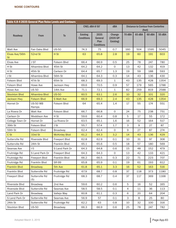| Table 4.8-4 2035 General Plan Noise Levels and Contours |                          |                      |                                      |                                              |                                  |             |        |                                                      |        |
|---------------------------------------------------------|--------------------------|----------------------|--------------------------------------|----------------------------------------------|----------------------------------|-------------|--------|------------------------------------------------------|--------|
|                                                         |                          |                      |                                      | CNEL dBA @ 50'                               | dBA                              |             |        | <b>Distance to Contour from Centerline</b><br>(feet) |        |
| Roadway                                                 | From                     | <b>To</b>            | <b>Existing</b><br><b>Conditions</b> | 2035<br>General<br>Plan<br><b>Conditions</b> | Change<br>(2035 GP-<br>Existing) | 70 dBA      | 65 dBA | 60 dBA                                               | 55 dBA |
| Watt Ave                                                | Fair Oaks Blvd           | <b>US-50</b>         | 74.3                                 | 75                                           | 0.7                              | 160         | 504    | 1595                                                 | 5045   |
| Elvas Ave/56th<br><b>St</b>                             | 52nd St                  | H St                 | 63                                   | 65.8                                         | 2.8                              | 19          | 60     | 191                                                  | 603    |
| Elvas Ave                                               | J ST                     | Folsom Blvd          | 66.4                                 | 66.9                                         | 0.5                              | 25          | 78     | 247                                                  | 780    |
| H St                                                    | Alhambra Blvd            | 45th St              | 64.2                                 | 64.2                                         | $\mathsf{O}$                     | 13          | 42     | 132                                                  | 419    |
| H St                                                    | 45th St                  | Carlson Dr           | 64.4                                 | 65.7                                         | 1.3                              | 19          | 59     | 188                                                  | 593    |
| J St                                                    | Alhambra Blvd            | 56th St              | 64.1                                 | 64.3                                         | 0.3                              | 14          | 43     | 136                                                  | 430    |
| Folsom Blvd                                             | 47th St                  | 65th St              | 68.3                                 | 69.3                                         | $\mathbf 1$                      | 43          | 135    | 428                                                  | 1354   |
| Folsom Blvd                                             | Howe Ave                 | Jackson Hwy          | 69.6                                 | 70.5                                         | 0.9                              | 57          | 179    | 565                                                  | 1788   |
| Howe Ave                                                | <b>US 50</b>             | 14th Ave             | 71.1                                 | 72.1                                         | $\mathbf 1$                      | 82          | 259    | 819                                                  | 2588   |
| <b>Stockton Blvd</b>                                    | <b>Alhambra Blvd</b>     | <b>US-50</b>         | 60.5                                 | 63.1                                         | 2.6                              | 10          | 32     | 101                                                  | 320    |
| <b>Jackson Hwy</b>                                      | <b>Folsom Blvd</b>       | <b>S Watt Ave</b>    | 66.9                                 | 69.3                                         | 2.4                              | 43          | 135    | 428                                                  | 1354   |
| Hornet Dr                                               | <b>US-50 WB</b><br>Ramps | Folsom Blvd          | 64                                   | 65.4                                         | 1.4                              | 17          | 55     | 174                                                  | 551    |
| La Rivera Dr                                            | Watt Ave                 | Folsom Blvd          | 66.7                                 | 66.8                                         | $\mathsf{O}$                     | 24          | 75     | 238                                                  | 751    |
| Carlson Dr                                              | Moddison Ave             | H St                 | 59.6                                 | 60.4                                         | 0.8                              | 5           | 17     | 55                                                   | 172    |
| College Town Dr                                         | Hornet Dr                | La Rivera Dr         | 63.5                                 | 65.1                                         | 1.6                              | 16          | 52     | 164                                                  | 517    |
| 39th St                                                 | Folsom Blvd              | J St                 | 55.7                                 | 57.4                                         | 1.7                              | 3           | 9      | 27                                                   | 87     |
| 59th St                                                 | Folsom Blvd              | <b>Broadway</b>      | 62.4                                 | 62.4                                         | 0                                | $\mathsf 9$ | 27     | 87                                                   | 274    |
| C St                                                    | 33rd St                  | <b>McKinley Blvd</b> | 61.2                                 | 64.3                                         | 3.2                              | 14          | 43     | 136                                                  | 429    |
| Sutterville Rd                                          | Riverside Blvd           | Freeport Blvd        | 62.8                                 | 62.9                                         | 0.1                              | 10          | 31     | 97                                                   | 306    |
| Sutterville Rd                                          | 24th St                  | Franklin Blvd        | 65.1                                 | 65.6                                         | 0.5                              | 18          | 57     | 180                                                  | 569    |
| Seamas Ave                                              | $I-5$                    | S Land Park Dr       | 64.3                                 | 64.8                                         | 0.6                              | 15          | 48     | 152                                                  | 479    |
| Fruitridge Rd                                           | S Land Park Dr           | Freeport Blvd        | 64.3                                 | 64.3                                         | 0                                | 13          | 42     | 133                                                  | 421    |
| Fruitridge Rd                                           | Freeport Blvd            | Franklin Blvd        | 66.2                                 | 66.5                                         | 0.3                              | 22          | 71     | 223                                                  | 707    |
| Fruitridge Rd                                           | Franklin Blvd            | <b>SR-99</b>         | 65.8                                 | 65.9                                         | 0.1                              | 19          | 61     | 193                                                  | 612    |
| <b>Franklin Blvd</b>                                    | <b>Broadway</b>          | 5th Ave              | 61.8                                 | 65.1                                         | 3.3                              | 16          | 52     | 163                                                  | 516    |
| Franklin Blvd                                           | Sutterville Rd           | Fruitridge Rd        | 67.9                                 | 68.7                                         | 0.8                              | 37          | 118    | 373                                                  | 1180   |
| Freeport Blvd                                           | Sutterville Rd<br>(S)    | Fruitridge Rd        | 68.3                                 | 68.7                                         | 0.4                              | 37          | 117    | 369                                                  | 1168   |
| Riverside Blvd                                          | Broadway                 | 2nd Ave              | 59.6                                 | 60.2                                         | 0.6                              | 5           | 16     | 52                                                   | 165    |
| Riverside Blvd                                          | Sutterville Rd           | Seamas Ave           | 58.5                                 | 58.5                                         | 0.1                              | 4           | 11     | 36                                                   | 113    |
| Land Park Dr                                            | Broadway                 | Vallejo Way          | 60.8                                 | 61.1                                         | 0.3                              | 6           | 20     | 64                                                   | 204    |
| S Land Park Dr                                          | Sutterville Rd           | Seamas Ave           | 56.9                                 | 57                                           | 0.1                              | 3           | 8      | 25                                                   | 80     |
| 24th St                                                 | Sutterville Rd           | Fruitridge Rd        | 62.2                                 | 63                                           | 0.8                              | 10          | 32     | 100                                                  | 316    |
| Stockton Blvd                                           | <b>US-50</b>             | Broadway             | 66.3                                 | 66.9                                         | 0.6                              | 25          | 78     | 247                                                  | 782    |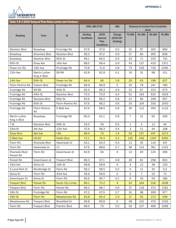

| Table 4.8-4 2035 General Plan Noise Levels and Contours |                               |                          |                                      |                                              |                                  |                |                                            |        |        |  |
|---------------------------------------------------------|-------------------------------|--------------------------|--------------------------------------|----------------------------------------------|----------------------------------|----------------|--------------------------------------------|--------|--------|--|
|                                                         |                               |                          | CNEL dBA @ 50'                       |                                              | dBA                              |                | <b>Distance to Contour from Centerline</b> | (feet) |        |  |
| Roadway                                                 | From                          | T <sub>o</sub>           | <b>Existing</b><br><b>Conditions</b> | 2035<br>General<br>Plan<br><b>Conditions</b> | Change<br>(2035 GP-<br>Existing) | 70 dBA         | 65 dBA                                     | 60 dBA | 55 dBA |  |
| Stockton Blvd                                           | <b>Broadway</b>               | Fruitridge Rd            | 67.6                                 | 67.9                                         | 0.2                              | 31             | 97                                         | 305    | 966    |  |
| Broadway                                                | Alhambra Blvd                 | Stockton Blvd            | 66.3                                 | 67.2                                         | 0.9                              | 27             | 84                                         | 265    | 838    |  |
| <b>Broadway</b>                                         | Stockton Blvd                 | 65th St                  | 66.1                                 | 66.5                                         | 0.5                              | 22             | 71                                         | 225    | 710    |  |
| 65th St                                                 | Elvas Ave                     | 14th Ave                 | 68.5                                 | 69.4                                         | 0.9                              | 43             | 137                                        | 433    | 1371   |  |
| Power Inn Rd                                            | 14th Ave                      | Fruitridge Rd            | 70.8                                 | 71.6                                         | 0.8                              | 73             | 229                                        | 726    | 2295   |  |
| 12th Ave                                                | Martin Luther<br>King Jr Blvd | <b>SR-99</b>             | 62.8                                 | 62.9                                         | 0.1                              | 10             | 31                                         | 98     | 311    |  |
| 14th Ave                                                | 65th St                       | Power Inn Rd             | 64.4                                 | 66                                           | 1.6                              | 20             | 63                                         | 198    | 627    |  |
| Florin Perkins Rd                                       | Folsom Blvd                   | Fruitridge Rd            | 66.9                                 | 66.9                                         | $\mathsf{O}$                     | 25             | 78                                         | 247    | 780    |  |
| Fruitridge Rd                                           | <b>SR-99</b>                  | 44th St                  | 65.4                                 | 66.3                                         | 0.9                              | 21             | 67                                         | 213    | 675    |  |
| Fruitridge Rd                                           | 44th St                       | Stockton Blvd            | 70.5                                 | 70.9                                         | 0.4                              | 61             | 193                                        | 610    | 1929   |  |
| Fruitridge Rd                                           | Stockton Blvd                 | 65th St                  | 65.6                                 | 66.2                                         | 0.6                              | 21             | 66                                         | 208    | 657    |  |
| Fruitridge Rd                                           | 65th St                       | Florin Perkins Rd        | 67.6                                 | 68.2                                         | 0.6                              | 33             | 104                                        | 330    | 1043   |  |
| Fruitridge Rd                                           | <b>Florin Perkins</b><br>Rd   | S Watt Ave               | 67.6                                 | 68.5                                         | 0.9                              | 35             | 112                                        | 355    | 1122   |  |
| Martin Luther<br>King Jr Blvd                           | Broadway                      | Fruitridge Rd            | 60.3                                 | 61.1                                         | 0.9                              | $\overline{7}$ | 21                                         | 65     | 206    |  |
| T St                                                    | Stockton Blvd                 | 59th St                  | 53.5                                 | 54                                           | 0.5                              | 1              | $\overline{4}$                             | 12     | 40     |  |
| 33rd St                                                 | 4th Ave                       | 12th Ave                 | 57.9                                 | 58.3                                         | 0.4                              | 3              | 11                                         | 34     | 108    |  |
| <b>Raley Blvd</b>                                       | <b>Bell Ave</b>               | $I-80$                   | 68.4                                 | 70                                           | 1.6                              | 50             | 157                                        | 497    | 1573   |  |
| S Watt Ave                                              | <b>US-50</b>                  | <b>Kiefer Blvd</b>       | 72.1                                 | 74.3                                         | 2.2                              | 135            | 426                                        | 1347   | 4260   |  |
| Florin Rd                                               | Riverside Blvd                | Havenside Dr             | 63.1                                 | 63.4                                         | 0.3                              | 11             | 35                                         | 110    | 347    |  |
| Florin Rd                                               | Havenside Dr                  | $I-5$                    | 67.9                                 | 68.6                                         | 0.7                              | 36             | 114                                        | 361    | 1142   |  |
| Riverside Blvd/<br>Pocket Rd                            | Florin Rd                     | Greenhaven dr            | 63.9                                 | 64                                           | $\circ$                          | 13             | 40                                         | 125    | 396    |  |
| Pocket Rd                                               | Greenhaven dr                 | Freeport Blvd            | 66.3                                 | 67.1                                         | 0.8                              | 26             | 81                                         | 258    | 815    |  |
| 43rd Ave                                                | Gloria Dr                     | 13th St                  | 58.8                                 | 58.8                                         | $\mathsf{O}$                     | 4              | 12                                         | 38     | 120    |  |
| S Land Park Dr                                          | Windbridge Dr                 | Florin Rd                | 58.2                                 | 58.5                                         | 0.2                              | 4              | 11                                         | 35     | 111    |  |
| Gloria Dr                                               | Florin Rd                     | 43rd Ave                 | 56.6                                 | 56.6                                         | $\circ$                          | 2              | $\overline{7}$                             | 23     | 72     |  |
| Greenhaven Dr                                           | Gloria Dr                     | Florin Rd                | 60.6                                 | 60.7                                         | 0.1                              | 6              | 19                                         | 59     | 186    |  |
| <b>Freeport Blvd</b>                                    | Pocket Rd                     | <b>South City Limits</b> | 66.1                                 | 70.2                                         | $\overline{4}$                   | 52             | 164                                        | 518    | 1638   |  |
| Freeport Blvd                                           | Florin Rd                     | Pocket Rd                | 68.2                                 | 68.7                                         | 0.6                              | 37             | 118                                        | 373    | 1181   |  |
| 24th St                                                 | Fruitridge Rd                 | Florin Rd                | 67.2                                 | 67.9                                         | 0.7                              | 31             | 98                                         | 309    | 977    |  |
| 24th St                                                 | <b>Florin Rd</b>              | <b>Meadowview Rd</b>     | 63.8                                 | 65.4                                         | 1.5                              | 17             | 55                                         | 173    | 546    |  |
| Meadowview Rd                                           | Freeport Blvd                 | Brookfield Dr            | 69.8                                 | 69.8                                         | $\circ$                          | 48             | 152                                        | 479    | 1516   |  |
| Florin Rd                                               | Freeport Blvd                 | Franklin Blvd            | 69.5                                 | 70                                           | 0.5                              | 50             | 157                                        | 496    | 1569   |  |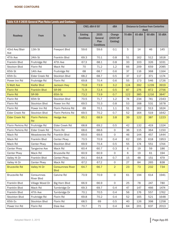| Table 4.8-4 2035 General Plan Noise Levels and Contours |                             |                                       |                                      |                                              |                                  |        |                                            |        |        |
|---------------------------------------------------------|-----------------------------|---------------------------------------|--------------------------------------|----------------------------------------------|----------------------------------|--------|--------------------------------------------|--------|--------|
|                                                         |                             |                                       |                                      | CNEL dBA @ 50'                               | dBA                              |        | <b>Distance to Contour from Centerline</b> | (feet) |        |
| Roadway                                                 | From                        | T <sub>o</sub>                        | <b>Existing</b><br><b>Conditions</b> | 2035<br>General<br>Plan<br><b>Conditions</b> | Change<br>(2035 GP-<br>Existing) | 70 dBA | 65 dBA                                     | 60 dBA | 55 dBA |
| 43rd Ave/Blair<br>Ave                                   | 13th St                     | Freeport Blvd                         | 59.6                                 | 59.6                                         | 0.1                              | 5      | 14                                         | 46     | 145    |
| 47th Ave                                                | 24th St                     | Franklin Blvd                         | 69.3                                 | 70.1                                         | 0.8                              | 51     | 162                                        | 512    | 1618   |
| Franklin Blvd                                           | Fruitridge Rd               | 47th Ave                              | 67.3                                 | 68.1                                         | 0.8                              | 33     | 103                                        | 326    | 1031   |
| Stockon Blvd                                            | Florin Rd                   | Mack Rd                               | 70                                   | 71.2                                         | 1.2                              | 66     | 209                                        | 659    | 2085   |
| 65th St                                                 | 14th Ave                    | Fruitridge Rd                         | 68                                   | 68.7                                         | 0.6                              | 37     | 116                                        | 368    | 1164   |
| 65th Ex                                                 | Elder Creek Rd              | Stockton Blvd                         | 68.2                                 | 68.7                                         | 0.5                              | 37     | 117                                        | 371    | 1174   |
| Power Inn Rd                                            | Fruitridge Rd               | Florin Rd                             | 69.8                                 | 70.4                                         | 0.6                              | 55     | 173                                        | 546    | 1726   |
| <b>S Watt Ave</b>                                       | <b>Kiefer Blvd</b>          | <b>Jackson Hwy</b>                    | 70.8                                 | 73.9                                         | 3.2                              | 124    | 392                                        | 1239   | 3919   |
| <b>Florin Rd</b>                                        | <b>Franklin Blvd</b>        | <b>SR-99</b>                          | 71.9                                 | 72.4                                         | 0.5                              | 87     | 276                                        | 872    | 2756   |
| <b>Florin Rd</b>                                        | <b>SR-99</b>                | 65th St                               | 73.2                                 | 73.9                                         | 0.7                              | 122    | 385                                        | 1216   | 3847   |
| Florin Rd                                               | 65th St                     | <b>Stockton Blvd</b>                  | 70.5                                 | 71.7                                         | 1.2                              | 74     | 234                                        | 741    | 2343   |
| Florin Rd                                               | Stockton Blvd               | Power Inn Rd                          | 69.5                                 | 70.3                                         | 0.8                              | 53     | 168                                        | 531    | 1678   |
| Florin Rd                                               | Power Inn Rd                | Florin Perkins Rd                     | 69                                   | 70.1                                         | 1.1                              | 51     | 162                                        | 513    | 1624   |
| Elder Creek Rd                                          | Stockton Blvd               | Florin Perkins Rd                     | 69.5                                 | 70.2                                         | 0.7                              | 52     | 164                                        | 519    | 1642   |
| <b>Elder Creek Rd</b>                                   | <b>Florin Perkins</b><br>Rd | <b>Hedge Ave</b>                      | 65.1                                 | 68.9                                         | 3.8                              | 39     | 122                                        | 387    | 1223   |
| Florin Perkins Rd                                       | Fruitridge Rd               | Elder Creek Rd                        | 68.8                                 | 69.2                                         | 0.5                              | 42     | 132                                        | 419    | 1324   |
| Florin Perkins Rd                                       | Elder Creek Rd              | Florin Rd                             | 68.6                                 | 68.6                                         | $\mathsf O$                      | 36     | 115                                        | 364    | 1150   |
| Mack Rd                                                 | Meadowview Rd               | Franklin Blvd                         | 69.6                                 | 69.6                                         | 0                                | 46     | 144                                        | 457    | 1444   |
| Mack Rd                                                 | Franklin Blvd               | Center Pkwy                           | 70.5                                 | 70.9                                         | 0.4                              | 62     | 195                                        | 618    | 1953   |
| Mack Rd                                                 | Center Pkwy                 | Stockton Blvd                         | 69.9                                 | 70.4                                         | 0.5                              | 55     | 174                                        | 551    | 1744   |
| Center Pkwy                                             | Tangerine Ave               | Mack Rd                               | 60.4                                 | 60.7                                         | 0.3                              | 6      | 19                                         | 59     | 186    |
| Center Pkwy                                             | Mack Rd                     | <b>Bruceville Rd</b>                  | 60.9                                 | 60.9                                         | 0                                | 6      | 19                                         | 61     | 194    |
| Valley Hi Dr                                            | Franklin Blvd               | Center Pkwy                           | 64.1                                 | 64.8                                         | 0.7                              | 15     | 48                                         | 151    | 479    |
| Valley Hi Dr                                            | Center Pkwy                 | Mack Rd                               | 67.2                                 | 67.2                                         | $\circ$                          | 27     | 84                                         | 265    | 838    |
| <b>Bruceville Rd</b>                                    | Valley Hi Dr                | <b>Consumnes River</b><br><b>Blvd</b> | 64.7                                 | 66.7                                         | $\overline{2}$                   | 23     | 73                                         | 232    | 734    |
| <b>Bruceville Rd</b>                                    | Consumnes<br>River Blvd     | Calvine Rd                            | 70.9                                 | 70.9                                         | $\mathsf{O}\xspace$              | 61     | 194                                        | 614    | 1941   |
| Franklin Blvd                                           | Village Wood Dr             | Big Horn Blvd                         | 66.9                                 | 66.9                                         | $\mathsf{O}$                     | 25     | 78                                         | 247    | 780    |
| Franklin Blvd                                           | Mack Rd                     | Turnbridge Dr                         | 69.3                                 | 69.7                                         | 0.4                              | 47     | 147                                        | 466    | 1474   |
| Franklin Blvd                                           | 47th Ave                    | Turnbridge Dr                         | 70.1                                 | 70.5                                         | 0.4                              | 56     | 176                                        | 557    | 1762   |
| Stockton Blvd                                           | Fruitridge Rd               | Florin Rd                             | 69.8                                 | 70.2                                         | 0.4                              | 52     | 165                                        | 521    | 1648   |
| 65th Ex                                                 | Stockton Blvd               | Florin Rd                             | 68.5                                 | 69                                           | 0.5                              | 40     | 126                                        | 398    | 1258   |
| Power Inn Rd                                            | Florin Rd                   | Elsie Ave                             | 70.7                                 | 71                                           | 0.4                              | 64     | 201                                        | 637    | 2013   |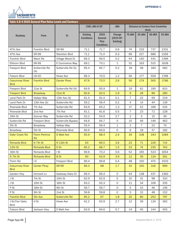

| Table 4.8-4 2035 General Plan Noise Levels and Contours |                             |                       |                                      |                                              |                                  |                |                |                                                      |        |  |  |
|---------------------------------------------------------|-----------------------------|-----------------------|--------------------------------------|----------------------------------------------|----------------------------------|----------------|----------------|------------------------------------------------------|--------|--|--|
|                                                         |                             |                       |                                      | CNEL dBA @ 50'                               | dBA                              |                |                | <b>Distance to Contour from Centerline</b><br>(feet) |        |  |  |
| Roadway                                                 | <b>From</b>                 | <b>To</b>             | <b>Existing</b><br><b>Conditions</b> | 2035<br>General<br>Plan<br><b>Conditions</b> | Change<br>(2035 GP-<br>Existing) | 70 dBA         | 65 dBA         | 60 dBA                                               | 55 dBA |  |  |
| 47th Ave                                                | <b>Franklin Blvd</b>        | <b>SR-99</b>          | 71.1                                 | 71.7                                         | 0.6                              | 74             | 233            | 737                                                  | 2331   |  |  |
| 47th Ave                                                | <b>SR-99</b>                | Stockton Blvd         | 71.1                                 | 71.4                                         | 0.3                              | 69             | 217            | 686                                                  | 2169   |  |  |
| Franklin Blvd                                           | Mack Rd                     | Village Wood Dr       | 69.3                                 | 69.5                                         | 0.2                              | 44             | 140            | 441                                                  | 1396   |  |  |
| Elkhorn Blvd                                            | <b>SR-99</b>                | E Commerce Way        | 69.1                                 | 70.1                                         | $\mathbf 1$                      | 51             | 163            | 515                                                  | 1628   |  |  |
| Freeport Blvd                                           | Sutterville Rd<br>(N)       | Sutterville Rd (S)    | 65.4                                 | 65.7                                         | 0.2                              | 18             | 58             | 184                                                  | 582    |  |  |
| Folsom Blvd                                             | <b>US-50</b>                | Howe Ave              | 69.3                                 | 70.5                                         | 1.2                              | 56             | 177            | 559                                                  | 1768   |  |  |
| <b>Cosumnes River</b><br><b>Blvd</b>                    | <b>Franklin Blvd</b>        | <b>Center Pkwy</b>    | 67.9                                 | 70.5                                         | 2.6                              | 56             | 179            | 565                                                  | 1786   |  |  |
| Freeport Blvd                                           | 21st St                     | Sutterville Rd (N)    | 64.9                                 | 65.9                                         | $\mathbf 1$                      | 19             | 62             | 195                                                  | 615    |  |  |
| <b>Freeport Blvd</b>                                    | <b>Broadway</b>             | 21st St               | 60.6                                 | 62.5                                         | 1.9                              | 9              | 28             | 89                                                   | 280    |  |  |
| Land Park Dr                                            | Vallejo Way                 | 13th Ave (S)          | 61.4                                 | 61.4                                         | 0.1                              | $\overline{7}$ | 22             | 69                                                   | 219    |  |  |
| Land Park Dr                                            | 13th Ave (S)                | Sutterville Rd        | 59.2                                 | 59.4                                         | 0.2                              | $\overline{4}$ | 14             | 44                                                   | 139    |  |  |
| Riverside Blvd                                          | 7th Ave                     | Sutterville Rd        | 63.9                                 | 65.2                                         | 1.3                              | 17             | 52             | 166                                                  | 524    |  |  |
| Riverside Blvd                                          | 2nd Ave                     | 7th Ave               | 61.1                                 | 61.6                                         | 0.5                              | $\overline{7}$ | 23             | 72                                                   | 228    |  |  |
| 24th St                                                 | Donner Way                  | Sutterville Rd        | 52.2                                 | 54.9                                         | 2.7                              | $\overline{2}$ | 5              | 15                                                   | 49     |  |  |
| Sutterville Rd                                          | Freeport Blvd               | Sutterville Bypass    | 64.6                                 | 64.7                                         | 0                                | 15             | 46             | 146                                                  | 462    |  |  |
| 5th St                                                  | <b>Broadway</b>             | Vallejo Way           | 55.4                                 | 56.4                                         | $\mathbf 1$                      | 2              | $\overline{7}$ | 22                                                   | 70     |  |  |
| Broadway                                                | 5th St                      | Riverside Blvd        | 60.6                                 | 60.6                                         | $\mathsf{O}$                     | 6              | 18             | 57                                                   | 182    |  |  |
| <b>Elder Creek Rd</b>                                   | <b>Florin Perkins</b><br>Rd | <b>S Watt Ave</b>     | 65.9                                 | 68.4                                         | 2.4                              | 34             | 108            | 343                                                  | 1084   |  |  |
| <b>Richards Blvd</b>                                    | N 7th St                    | N 12th St             | 63                                   | 66.5                                         | 3.6                              | 23             | 71             | 226                                                  | 714    |  |  |
| 12th St                                                 | <b>Richards Blvd</b>        | D <sub>St</sub>       | 65.2                                 | 66.7                                         | 1.5                              | 23             | 74             | 235                                                  | 743    |  |  |
| 16th St                                                 | Richards Blvd               | I St                  | 69.6                                 | 70.2                                         | 0.6                              | 52             | 165            | 523                                                  | 1654   |  |  |
| N 7th St                                                | <b>Richards Blvd</b>        | <b>B</b> St           | 60                                   | 63.9                                         | 3.9                              | 12             | 39             | 124                                                  | 391    |  |  |
| Florin Rd                                               | $I-5$                       | Freeport Blvd         | 69.4                                 | 69.8                                         | 0.4                              | 48             | 150            | 475                                                  | 1503   |  |  |
| <b>Cosumnes River</b><br><b>Blvd</b>                    | <b>Center Pkwy</b>          | <b>SR-99</b>          | 66.3                                 | 68                                           | 1.7                              | 32             | 100            | 316                                                  | 999    |  |  |
| Garden Hwy                                              | Orchard Ln                  | Gateway Oaks Dr       | 69.4                                 | 69.4                                         | $\circ$                          | 44             | 138            | 437                                                  | 1383   |  |  |
| J St                                                    | 7th St                      | 10th St               | 62.9                                 | 62.9                                         | $\circ$                          | 10             | 31             | 98                                                   | 310    |  |  |
| J St                                                    | 10th St                     | 16th St               | 63.2                                 | 63.3                                         | $\circ$                          | 11             | 34             | 106                                                  | 335    |  |  |
| P St                                                    | 16th St                     | 9th St                | 59.7                                 | 59.7                                         | $\circ$                          | 5              | 15             | 46                                                   | 146    |  |  |
| P St                                                    | 9th St                      | 2nd St                | 59.8                                 | 59.8                                         | $\circ$                          | 5              | 15             | 48                                                   | 152    |  |  |
| <b>Franklin Blvd</b>                                    | 5th Ave                     | <b>Sutterville Rd</b> | 65.2                                 | 67                                           | 1.8                              | 25             | 80             | 252                                                  | 797    |  |  |
| J St/Fair Oaks<br><b>Blvd</b>                           | H St                        | Howe Ave              | 61.2                                 | 63.9                                         | 2.7                              | 12             | 39             | 124                                                  | 392    |  |  |
| Folsom Blvd                                             | Jackson Hwy                 | S Watt Ave            | 63.9                                 | 64.6                                         | 0.7                              | 14             | 45             | 144                                                  | 455    |  |  |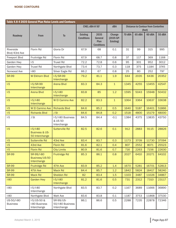|                               |                                                           | Table 4.8-4 2035 General Plan Noise Levels and Contours |                                      |                                              |                                  |        |        |                                                      |        |
|-------------------------------|-----------------------------------------------------------|---------------------------------------------------------|--------------------------------------|----------------------------------------------|----------------------------------|--------|--------|------------------------------------------------------|--------|
|                               |                                                           |                                                         | CNEL dBA @ 50'                       |                                              | dBA                              |        |        | <b>Distance to Contour from Centerline</b><br>(feet) |        |
| Roadway                       | From                                                      | <b>To</b>                                               | <b>Existing</b><br><b>Conditions</b> | 2035<br>General<br>Plan<br><b>Conditions</b> | Change<br>(2035 GP-<br>Existing) | 70 dBA | 65 dBA | 60 dBA                                               | 55 dBA |
| Riverside<br>Blvd/43rd Ave    | Florin Rd                                                 | Gloria Dr                                               | 67.9                                 | 68                                           | 0.1                              | 31     | 99     | 315                                                  | 995    |
| Freeport Blvd                 | Fruitridge Rd                                             | Florin Rd                                               | 67.9                                 | 68.7                                         | 0.8                              | 37     | 117    | 369                                                  | 1168   |
| Garden Hwy                    | $I-5$                                                     | <b>Truxel Rd</b>                                        | 72.2                                 | 72.8                                         | 0.6                              | 95     | 301    | 952                                                  | 3012   |
| Garden Hwy                    | <b>Truxel Rd</b>                                          | Northgate Blvd                                          | 73.4                                 | 73.7                                         | 0.3                              | 118    | 375    | 1184                                                 | 3745   |
| Norwood Ave                   | $I-80$                                                    | Silver Eagle Rd                                         | 66.2                                 | 67                                           | 0.8                              | 25     | 80     | 252                                                  | 797    |
| <b>SR-99</b>                  | <b>W Elkhorn Blvd</b>                                     | $I-5/SR-99$<br>Interchange                              | 79.2                                 | 81.1                                         | 1.9                              | 644    | 2035   | 6436                                                 | 20352  |
| $I-5$                         | $I-5/SR-99$<br>Interchange                                | <b>Arena Blvd</b>                                       | 83.3                                 | 84.3                                         | $\mathbf{1}$                     | 1345   | 4255   | 13455                                                | 42547  |
| $I-5$                         | <b>Arena Blvd</b>                                         | $I-5/I-80$<br>Interchange                               | 83.8                                 | 85                                           | 1.2                              | 1595   | 5043   | 15948                                                | 50432  |
| $I-5$                         | $I-5/I-80$<br>Interchange                                 | <b>W El Camino Ave</b>                                  | 82.2                                 | 83.3                                         | $\mathbf{1}$                     | 1064   | 3364   | 10637                                                | 33638  |
| $I-5$                         | <b>W El Camino Ave</b>                                    | <b>Richards Blvd</b>                                    | 84.6                                 | 85.2                                         | 0.5                              | 1640   | 5187   | 16401                                                | 51866  |
| $I-5$                         | <b>Richards Blvd</b>                                      | J St                                                    | 84.6                                 | 84.8                                         | 0.2                              | 1518   | 4800   | 15179                                                | 48000  |
| $I-5$                         | J St                                                      | I-5/I-80 Business<br>& US 50<br>Interchange             | 84.5                                 | 84.4                                         | $-0.1$                           | 1384   | 4375   | 13835                                                | 43750  |
| $I-5$                         | $I-5/I-80$<br><b>Business &amp; US-</b><br>50 Interchange | <b>Sutterville Rd</b>                                   | 82.5                                 | 82.6                                         | 0.1                              | 912    | 2883   | 9115                                                 | 28826  |
| $I-5$                         | <b>Sutterville Rd</b>                                     | 43rd Ave                                                | 83.4                                 | 83.7                                         | 0.3                              | 1173   | 3709   | 11730                                                | 37094  |
| $I-5$                         | 43rd Ave                                                  | <b>Florin Rd</b>                                        | 81.6                                 | 82.1                                         | 0.4                              | 807    | 2552   | 8071                                                 | 25523  |
| $I-5$                         | <b>Florin Rd</b>                                          | <b>City Limits</b>                                      | 80.9                                 | 81.6                                         | 0.7                              | 716    | 2263   | 7156                                                 | 22630  |
| <b>SR-99</b>                  | SR-99/I-80<br>Business/US-50<br>Interchange               | <b>Fruitridge Rd</b>                                    | 85.3                                 | 86.1                                         | 0.8                              | 2027   | 6410   | 20271                                                | 64102  |
| <b>SR-99</b>                  | Fruitridge Rd                                             | 47th Ave                                                | 83.9                                 | 85.2                                         | 1.4                              | 1670   | 5281   | 16701                                                | 52813  |
| <b>SR-99</b>                  | 47th Ave                                                  | Mack Rd                                                 | 84.4                                 | 85.7                                         | 1.2                              | 1842   | 5824   | 18417                                                | 58240  |
| <b>SR-99</b>                  | <b>Mack Rd</b>                                            | Sheldon Rd                                              | 82                                   | 83.4                                         | 1.5                              | 1103   | 3487   | 11026                                                | 34867  |
| $1-80$                        | <b>Garden Hwy</b>                                         | $I-5/I-80$<br>Interchange                               | 81.2                                 | 81.6                                         | 0.5                              | 731    | 2312   | 7310                                                 | 23117  |
| $I-80$                        | $1-5/1-80$<br>Interchange                                 | Northgate Blvd                                          | 83.5                                 | 83.7                                         | 0.2                              | 1167   | 3689   | 11666                                                | 36890  |
| $I-80$                        | Northgate Blvd                                            | Watt Ave                                                | 83.6                                 | 83.8                                         | 0.1                              | 1187   | 3753   | 11868                                                | 37530  |
| US-50/I-80<br><b>Business</b> | I-5/US-50 &<br>I-80 Business<br>Interchange               | SR-99/US-<br>50/I-80 Business<br>Interchange            | 86.1                                 | 86.6                                         | 0.5                              | 2288   | 7235   | 22878                                                | 72346  |